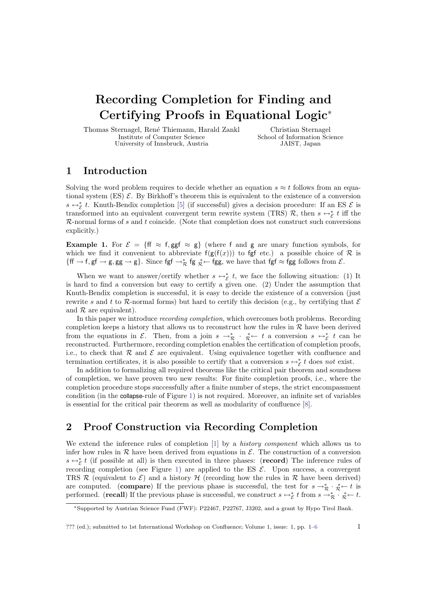# Recording Completion for Finding and Certifying Proofs in Equational Logic<sup>∗</sup>

Thomas Sternagel, René Thiemann, Harald Zankl Institute of Computer Science University of Innsbruck, Austria

Christian Sternagel School of Information Science JAIST, Japan

#### 1 Introduction

Solving the word problem requires to decide whether an equation  $s \approx t$  follows from an equational system (ES)  $\mathcal{E}$ . By Birkhoff's theorem this is equivalent to the existence of a conversion s  $\leftrightarrow$  <sup>\*</sup> $\epsilon$  t. Knuth-Bendix completion [\[5\]](#page-5-0) (if successful) gives a decision procedure: If an ES  $\epsilon$  is transformed into an equivalent convergent term rewrite system (TRS)  $\mathcal{R}$ , then  $s \leftrightarrow^*_{\mathcal{E}} t$  iff the  $R$ -normal forms of s and t coincide. (Note that completion does not construct such conversions explicitly.)

<span id="page-0-0"></span>**Example 1.** For  $\mathcal{E} = \{ \text{ff } \approx \text{f}, \text{ggf } \approx \text{g} \}$  (where f and g are unary function symbols, for which we find it convenient to abbreviate  $f(g(f(x)))$  to fgf etc.) a possible choice of R is  $\{\text{ff} \to \text{f}, \text{gf} \to \text{g}, \text{gg} \to \text{g}\}\.$  Since  $\text{fgf} \to^*_{\mathcal{R}} \text{fg }^*_{\mathcal{R}} \leftarrow \text{fgg}$ , we have that  $\text{fgf} \approx \text{fgg}$  follows from  $\mathcal{E}$ .

When we want to answer/certify whether  $s \leftrightarrow_{\mathcal{E}}^* t$ , we face the following situation: (1) It is hard to find a conversion but easy to certify a given one. (2) Under the assumption that Knuth-Bendix completion is successful, it is easy to decide the existence of a conversion (just rewrite s and t to R-normal forms) but hard to certify this decision (e.g., by certifying that  $\mathcal E$ and  $R$  are equivalent).

In this paper we introduce recording completion, which overcomes both problems. Recording completion keeps a history that allows us to reconstruct how the rules in  $R$  have been derived from the equations in  $\mathcal{E}$ . Then, from a join  $s \to \pi^*$  +  $\pi^*$  +  $t$  a conversion  $s \leftrightarrow \pi^*$  t can be reconstructed. Furthermore, recording completion enables the certification of completion proofs, i.e., to check that  $\mathcal R$  and  $\mathcal E$  are equivalent. Using equivalence together with confluence and termination certificates, it is also possible to certify that a conversion  $s \leftrightarrow^*_{\mathcal{E}} t$  does not exist.

In addition to formalizing all required theorems like the critical pair theorem and soundness of completion, we have proven two new results: For finite completion proofs, i.e., where the completion procedure stops successfully after a finite number of steps, the strict encompassment condition (in the collapse-rule of Figure [1\)](#page-1-0) is not required. Moreover, an infinite set of variables is essential for the critical pair theorem as well as modularity of confluence [\[8\]](#page-5-1).

### <span id="page-0-1"></span>2 Proof Construction via Recording Completion

We extend the inference rules of completion [\[1\]](#page-5-2) by a history component which allows us to infer how rules in R have been derived from equations in  $\mathcal{E}$ . The construction of a conversion  $s \leftrightarrow_{\mathcal{E}}^* t$  (if possible at all) is then executed in three phases: (**record**) The inference rules of recording completion (see Figure [1\)](#page-1-0) are applied to the ES  $\mathcal{E}$ . Upon success, a convergent TRS  $\mathcal R$  (equivalent to  $\mathcal E$ ) and a history  $\mathcal H$  (recording how the rules in  $\mathcal R$  have been derived) are computed. (compare) If the previous phase is successful, the test for  $s \to^*_{\mathcal{R}} \cdot^*_{\mathcal{R}} \leftarrow t$  is performed. (**recall**) If the previous phase is successful, we construct  $s \leftrightarrow_{\mathcal{E}}^* t$  from  $s \rightarrow_{\mathcal{R}}^* \cdot \mathcal{E} \leftarrow t$ .

<sup>∗</sup>Supported by Austrian Science Fund (FWF): P22467, P22767, J3202, and a grant by Hypo Tirol Bank.

<sup>??? (</sup>ed.); submitted to 1st International Workshop on Confluence; Volume 1, issue: 1, pp.  $1-6$  1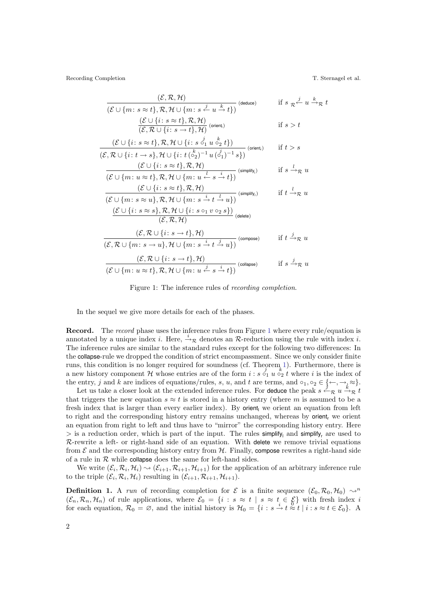Recording Completion T. Sternagel et al.

$$
\frac{(\mathcal{E}, \mathcal{R}, \mathcal{H})}{(\mathcal{E} \cup \{m: s \approx t\}, \mathcal{R}, \mathcal{H} \cup \{m: s \stackrel{j}{\leftarrow} u \stackrel{k}{\rightarrow} t\})} \text{ (deduce)} \qquad \text{if } s \underset{\mathcal{R}}{\underset{\mathcal{R}}{\leftarrow}} u \stackrel{k}{\rightarrow}_{\mathcal{R}} t
$$
\n
$$
\frac{(\mathcal{E} \cup \{i: s \approx t\}, \mathcal{R}, \mathcal{H})}{(\mathcal{E}, \mathcal{R} \cup \{i: s \rightarrow t\}, \mathcal{H})} \text{ (orient)} \qquad \text{if } s > t
$$

$$
\frac{(\mathcal{E}\cup\{i\colon s\approx t\},\mathcal{R},\mathcal{H}\cup\{i\colon s\stackrel{j}{\circ_1}u\stackrel{k}{\circ_2}t\})}{(\mathcal{E},\mathcal{R}\cup\{i\colon t\rightarrow s\},\mathcal{H}\cup\{i\colon t\stackrel{k}{(\circ_2)^{-1}}u\stackrel{j}{(\circ_1)^{-1}}s\})} \text{ (orient, )} \qquad \text{if } t>s
$$

$$
\frac{(\mathcal{E} \cup \{i \colon s \approx t\}, \mathcal{R}, \mathcal{H})}{(\mathcal{E} \cup \{m \colon u \approx t\}, \mathcal{R}, \mathcal{H} \cup \{m \colon u \stackrel{l}{\leftarrow} s \stackrel{i}{\rightarrow} t\})} \text{ (simplify_i)} \quad \text{if } s \stackrel{l}{\rightarrow}_{\mathcal{R}} u
$$

$$
\frac{(\mathcal{E} \cup \{i : s \approx t\}, \mathcal{R}, \mathcal{H})}{(\mathcal{E} \cup \{m : s \approx u\}, \mathcal{R}, \mathcal{H} \cup \{m : s \stackrel{i}{\rightarrow} t \stackrel{l}{\rightarrow} u\})} \text{ (simplify}_{t}) \qquad \text{if } t \stackrel{l}{\rightarrow}_{\mathcal{R}} u
$$

$$
\frac{\bigcup \{i \colon s \approx s\}, \mathcal{R}, \mathcal{H} \cup \{i \colon s \circ_1 v \circ_2 s\}\big)}{(\mathcal{E}, \mathcal{R}, \mathcal{H})} \text{ (delete)}
$$
\n
$$
(\mathcal{E}, \mathcal{R} \cup \{i \colon s \to t\} \mathcal{H})
$$

$$
\frac{(\mathcal{E}, \mathcal{R} \cup \{i : s \to t\}, \mathcal{H})}{(\mathcal{E}, \mathcal{R} \cup \{m : s \to u\}, \mathcal{H} \cup \{m : s \stackrel{i}{\to} t \stackrel{j}{\to} u\})} \text{ (composite)} \quad \text{if } t \stackrel{j}{\to}_{\mathcal{R}} u
$$
\n
$$
\frac{(\mathcal{E}, \mathcal{R} \cup \{i : s \to t\}, \mathcal{H})}{(\mathcal{E} \cup \{m : u \approx t\}, \mathcal{R}, \mathcal{H} \cup \{m : u \stackrel{j}{\to} s \stackrel{i}{\to} t\})} \text{ (collapse)} \quad \text{if } s \stackrel{j}{\to}_{\mathcal{R}} u
$$

<span id="page-1-0"></span>Figure 1: The inference rules of recording completion.

In the sequel we give more details for each of the phases.

Record. The record phase uses the inference rules from Figure [1](#page-1-0) where every rule/equation is annotated by a unique index i. Here,  $\stackrel{i}{\rightarrow}R$  denotes an R-reduction using the rule with index i. The inference rules are similar to the standard rules except for the following two differences: In the collapse-rule we dropped the condition of strict encompassment. Since we only consider finite runs, this condition is no longer required for soundness (cf. Theorem [1\)](#page-2-0). Furthermore, there is a new history component H whose entries are of the form  $i : s \circ_1 u \circ_2 t$  where i is the index of the entry, j and k are indices of equations/rules, s, u, and t are terms, and  $\circ_1, \circ_2 \in \{\leftarrow, \rightarrow, \approx\}.$ 

Let us take a closer look at the extended inference rules. For deduce the peak  $s \stackrel{j}{\leftarrow} R u \stackrel{k}{\rightarrow} R t$ that triggers the new equation  $s \approx t$  is stored in a history entry (where m is assumed to be a fresh index that is larger than every earlier index). By orient, we orient an equation from left to right and the corresponding history entry remains unchanged, whereas by orient<sub>r</sub> we orient an equation from right to left and thus have to "mirror" the corresponding history entry. Here  $>$  is a reduction order, which is part of the input. The rules simplify, and simplify, are used to  $R$ -rewrite a left- or right-hand side of an equation. With delete we remove trivial equations from  $\mathcal E$  and the corresponding history entry from  $\mathcal H$ . Finally, compose rewrites a right-hand side of a rule in  $R$  while collapse does the same for left-hand sides.

We write  $(\mathcal{E}_i, \mathcal{R}_i, \mathcal{H}_i) \sim (\mathcal{E}_{i+1}, \mathcal{R}_{i+1}, \mathcal{H}_{i+1})$  for the application of an arbitrary inference rule to the triple  $(\mathcal{E}_i, \mathcal{R}_i, \mathcal{H}_i)$  resulting in  $(\mathcal{E}_{i+1}, \mathcal{R}_{i+1}, \mathcal{H}_{i+1})$ .

**Definition 1.** A run of recording completion for  $\mathcal{E}$  is a finite sequence  $(\mathcal{E}_0, \mathcal{R}_0, \mathcal{H}_0) \sim^n$  $(\mathcal{E}_n, \mathcal{R}_n, \mathcal{H}_n)$  of rule applications, where  $\mathcal{E}_0 = \{i : s \approx t \mid s \approx t \in \mathcal{E}\}\$  with fresh index i for each equation,  $\mathcal{R}_0 = \emptyset$ , and the initial history is  $\mathcal{H}_0 = \{i : s \stackrel{i}{\to} t \approx t \mid i : s \approx t \in \mathcal{E}_0\}$ .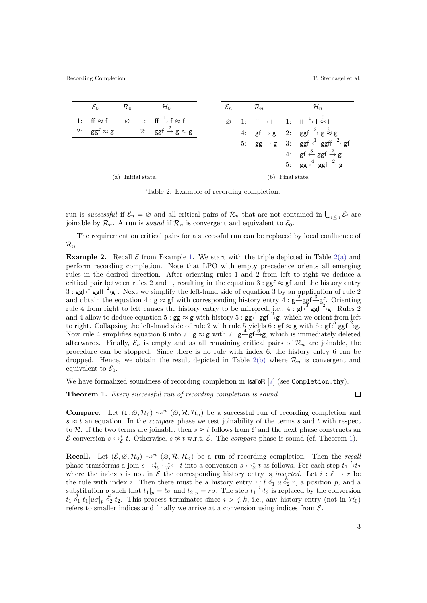|                    | $\mathcal{E}_0$   | $\mathcal{R}_0$ |  | $\mathcal{H}_0$                                                   |                  |  | $\mathcal{R}_n$ |  | $\mathcal{H}_n$                                                                                   |
|--------------------|-------------------|-----------------|--|-------------------------------------------------------------------|------------------|--|-----------------|--|---------------------------------------------------------------------------------------------------|
|                    | 1: ff $\approx$ f |                 |  | $\varnothing$ 1: ff $\stackrel{1}{\rightarrow}$ f $\approx$ f     |                  |  |                 |  | $\varnothing$ 1: ff $\rightarrow$ f 1: ff $\stackrel{1}{\rightarrow}$ f $\stackrel{0}{\approx}$ f |
|                    |                   |                 |  | 2: $ggf \approx g$ 2: $ggf \stackrel{2}{\rightarrow} g \approx g$ |                  |  |                 |  | 4: $gf \rightarrow g$ 2: $ggf \stackrel{2}{\rightarrow} g \stackrel{0}{\approx} g$                |
|                    |                   |                 |  |                                                                   |                  |  |                 |  | 5: $gg \rightarrow g$ 3: $ggf \leftarrow ggff \stackrel{2}{\rightarrow} gf$                       |
|                    |                   |                 |  |                                                                   |                  |  |                 |  | 4: gf $\stackrel{3}{\leftarrow}$ ggf $\stackrel{2}{\rightarrow}$ g                                |
|                    |                   |                 |  |                                                                   |                  |  |                 |  | 5: $gg \stackrel{4}{\leftarrow} ggf \stackrel{2}{\rightarrow} g$                                  |
| (a) Initial state. |                   |                 |  |                                                                   | (b) Final state. |  |                 |  |                                                                                                   |

<span id="page-2-3"></span><span id="page-2-1"></span>Table 2: Example of recording completion.

<span id="page-2-2"></span>run is successful if  $\mathcal{E}_n = \emptyset$  and all critical pairs of  $\mathcal{R}_n$  that are not contained in  $\bigcup_{i \leq n} \mathcal{E}_i$  are joinable by  $\mathcal{R}_n$ . A run is *sound* if  $\mathcal{R}_n$  is convergent and equivalent to  $\mathcal{E}_0$ .

The requirement on critical pairs for a successful run can be replaced by local confluence of  $\mathcal{R}_n$ .

**Example [2](#page-2-1).** Recall  $\mathcal{E}$  from Example [1.](#page-0-0) We start with the triple depicted in Table 2[\(a\)](#page-2-2) and perform recording completion. Note that LPO with empty precedence orients all emerging rules in the desired direction. After orienting rules 1 and 2 from left to right we deduce a critical pair between rules 2 and 1, resulting in the equation 3 : ggf  $\approx$  gf and the history entry  $3:$  ggf  $\stackrel{\perp}{\leftarrow}$ ggff $\stackrel{\sim}{\rightarrow}$ gf. Next we simplify the left-hand side of equation 3 by an application of rule 2 and obtain the equation  $4 : g \approx gf$  with corresponding history entry  $4 : g \stackrel{2}{\leftarrow} ggf \stackrel{3}{\rightarrow} gf$ . Orienting rule 4 from right to left causes the history entry to be mirrored, i.e.,  $4: gf \stackrel{?}{\leftarrow} gf \stackrel{?}{\rightarrow} g.$  Rules 2 and 4 allow to deduce equation 5 :  $gg \approx g$  with history 5 :  $gg \stackrel{4}{\leftarrow} ggf \stackrel{2}{\rightarrow} g$ , which we orient from left to right. Collapsing the left-hand side of rule 2 with rule 5 yields 6 : gf  $\approx$  g with 6 : gf $\stackrel{5}{\leftarrow}$ ggf $\stackrel{2}{\rightarrow}$ g. Now rule 4 simplifies equation 6 into 7 :  $g \approx g$  with 7 :  $g \stackrel{4}{\leftarrow} gf \stackrel{6}{\rightarrow} g$ , which is immediately deleted afterwards. Finally,  $\mathcal{E}_n$  is empty and as all remaining critical pairs of  $\mathcal{R}_n$  are joinable, the procedure can be stopped. Since there is no rule with index 6, the history entry 6 can be dropped. Hence, we obtain the result depicted in Table [2](#page-2-1)[\(b\)](#page-2-3) where  $\mathcal{R}_n$  is convergent and equivalent to  $\mathcal{E}_0$ .

We have formalized soundness of recording completion in  $\text{IsaF}$  [\[7\]](#page-5-4) (see Completion.thy).

<span id="page-2-0"></span>Theorem 1. Every successful run of recording completion is sound.

 $\Box$ 

**Compare.** Let  $(\mathcal{E}, \emptyset, \mathcal{H}_0) \sim^n (\emptyset, \mathcal{R}, \mathcal{H}_n)$  be a successful run of recording completion and  $s \approx t$  an equation. In the *compare* phase we test joinability of the terms s and t with respect to R. If the two terms are joinable, then  $s \approx t$  follows from E and the next phase constructs an E-conversion  $s \leftrightarrow_{\mathcal{E}}^* t$ . Otherwise,  $s \not\approx t$  w.r.t. E. The *compare* phase is sound (cf. Theorem [1\)](#page-2-0).

**Recall.** Let  $(\mathcal{E}, \varnothing, \mathcal{H}_0) \sim^n (\varnothing, \mathcal{R}, \mathcal{H}_n)$  be a run of recording completion. Then the recall phase transforms a join  $s \to^*_{\mathcal{R}} \cdot^*_{\mathcal{R}} \leftarrow t$  into a conversion  $s \to^*_{\mathcal{E}} t$  as follows. For each step  $t_1 \stackrel{i}{\to} t_2$ where the index i is not in E the corresponding history entry is inserted. Let  $i : \ell \to r$  be the rule with index *i*. Then there must be a history entry  $i : \ell \stackrel{j}{\circ_1} u \stackrel{k}{\circ_2} r$ , a position *p*, and a substitution  $\sigma$  such that  $t_1|_p = \ell \sigma$  and  $t_2|_p = r\sigma$ . The step  $t_1 \stackrel{i}{\rightarrow} t_2$  is replaced by the conversion  $t_1 \, \delta_1 \, t_1[u\sigma]_p \, \delta_2 \, t_2$ . This process terminates since  $i > j, k$ , i.e., any history entry (not in  $\mathcal{H}_0$ ) refers to smaller indices and finally we arrive at a conversion using indices from  $\mathcal{E}$ .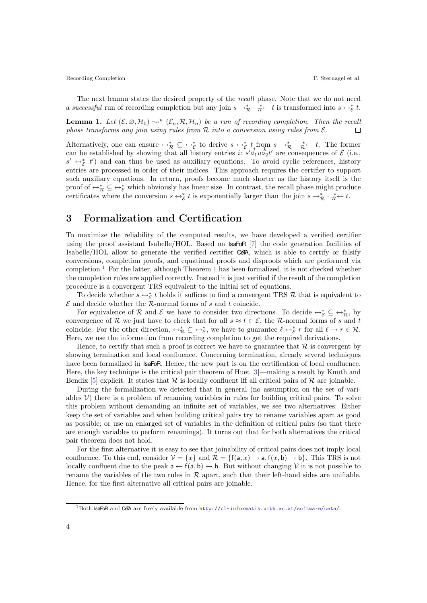Recording Completion T. Sternagel et al.

The next lemma states the desired property of the recall phase. Note that we do not need a successful run of recording completion but any join  $s \to \pi^* \to \pi^* \to t$  is transformed into  $s \leftrightarrow \xi$  t.

**Lemma 1.** Let  $(\mathcal{E}, \varnothing, \mathcal{H}_0) \rightsquigarrow^n (\mathcal{E}_n, \mathcal{R}, \mathcal{H}_n)$  be a run of recording completion. Then the recall phase transforms any join using rules from  $\mathcal R$  into a conversion using rules from  $\mathcal E$ .  $\Box$ 

Alternatively, one can ensure  $\leftrightarrow_{\mathcal{R}}^* \subseteq \leftrightarrow_{\mathcal{E}}^*$  to derive  $s \leftrightarrow_{\mathcal{E}}^* t_i$  from  $s \to_{\mathcal{R}}^* \cdot \mathcal{R} \leftarrow t$ . The former can be established by showing that all history entries  $i: s' \circ_1 u \circ_2 t'$  are consequences of  $\mathcal{E}$  (i.e.,  $s' \leftrightarrow_{\mathcal{E}}^* t'$  and can thus be used as auxiliary equations. To avoid cyclic references, history entries are processed in order of their indices. This approach requires the certifier to support such auxiliary equations. In return, proofs become much shorter as the history itself is the proof of  $\leftrightarrow_{\mathcal{R}}^* \subseteq \leftrightarrow_{\mathcal{E}}^*$  which obviously has linear size. In contrast, the recall phase might produce certificates where the conversion  $s \leftrightarrow_{\mathcal{E}}^* t$  is exponentially larger than the join  $s \rightarrow_{\mathcal{R}}^* \cdot \mathcal{E} \leftarrow t$ .

#### 3 Formalization and Certification

To maximize the reliability of the computed results, we have developed a verified certifier using the proof assistant Isabelle/HOL. Based on IsaFoR [\[7\]](#page-5-4) the code generation facilities of Isabelle/HOL allow to generate the verified certifier CeTA, which is able to certify or falsify conversions, completion proofs, and equational proofs and disproofs which are performed via completion.<sup>[1](#page-2-0)</sup> For the latter, although Theorem 1 has been formalized, it is not checked whether the completion rules are applied correctly. Instead it is just verified if the result of the completion procedure is a convergent TRS equivalent to the initial set of equations.

To decide whether  $s \leftrightarrow_{\mathcal{E}}^* t$  holds it suffices to find a convergent TRS R that is equivalent to  ${\mathcal E}$  and decide whether the R-normal forms of  $s$  and  $t$  coincide.

For equivalence of R and E we have to consider two directions. To decide  $\leftrightarrow_{\mathcal{E}}^* \subseteq \leftrightarrow_{\mathcal{R}}^*$ , by convergence of R we just have to check that for all  $s \approx t \in \mathcal{E}$ , the R-normal forms of s and t coincide. For the other direction,  $\leftrightarrow_{\mathcal{R}}^* \subseteq \leftrightarrow_{\mathcal{E}}^*$ , we have to guarantee  $\ell \leftrightarrow_{\mathcal{E}}^* r$  for all  $\ell \to r \in \mathcal{R}$ . Here, we use the information from recording completion to get the required derivations.

Hence, to certify that such a proof is correct we have to guarantee that  $\mathcal R$  is convergent by showing termination and local confluence. Concerning termination, already several techniques have been formalized in  $IsaFoR$ . Hence, the new part is on the certification of local confluence. Here, the key technique is the critical pair theorem of Huet [\[3\]](#page-5-5)—making a result by Knuth and Bendix [\[5\]](#page-5-0) explicit. It states that  $\mathcal R$  is locally confluent iff all critical pairs of  $\mathcal R$  are joinable.

During the formalization we detected that in general (no assumption on the set of variables  $V$ ) there is a problem of renaming variables in rules for building critical pairs. To solve this problem without demanding an infinite set of variables, we see two alternatives: Either keep the set of variables and when building critical pairs try to rename variables apart as good as possible; or use an enlarged set of variables in the definition of critical pairs (so that there are enough variables to perform renamings). It turns out that for both alternatives the critical pair theorem does not hold.

For the first alternative it is easy to see that joinability of critical pairs does not imply local confluence. To this end, consider  $V = \{x\}$  and  $\mathcal{R} = \{f(a, x) \rightarrow a, f(x, b) \rightarrow b\}$ . This TRS is not locally confluent due to the peak  $a \leftarrow f(a, b) \rightarrow b$ . But without changing V it is not possible to rename the variables of the two rules in  $R$  apart, such that their left-hand sides are unifiable. Hence, for the first alternative all critical pairs are joinable.

<span id="page-3-0"></span> $1$ Both IsaFoR and CeTA are freely available from <http://cl-informatik.uibk.ac.at/software/ceta/>.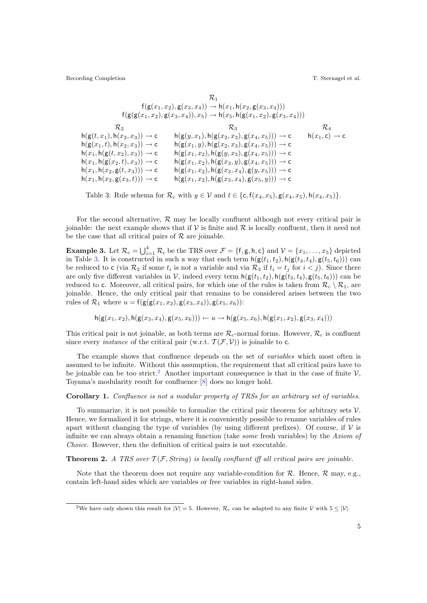Recording Completion T. Sternagel et al.

$$
\mathcal{R}_1
$$
\n
$$
f(g(x_1, x_2), g(x_3, x_4)) \to h(x_1, h(x_2, g(x_3, x_4)))
$$
\n
$$
f(g(g(x_1, x_2), g(x_3, x_4)), x_5) \to h(x_5, h(g(x_1, x_2), g(x_3, x_4)))
$$
\n
$$
\mathcal{R}_2
$$
\n
$$
h(g(t, x_1), h(x_2, x_3)) \to c
$$
\n
$$
h(g(y, x_1), h(g(x_2, x_3), g(x_4, x_5))) \to c
$$
\n
$$
h(g(x_1, t), h(x_2, x_3)) \to c
$$
\n
$$
h(g(x_1, y), h(g(x_2, x_3), g(x_4, x_5))) \to c
$$
\n
$$
h(x_1, h(g(t, x_2), x_3)) \to c
$$
\n
$$
h(g(x_1, x_2), h(g(y, x_3), g(x_4, x_5))) \to c
$$
\n
$$
h(x_1, h(x_2, g(t, x_3))) \to c
$$
\n
$$
h(g(x_1, x_2), h(g(x_3, y), g(x_4, x_5))) \to c
$$
\n
$$
h(x_1, h(x_2, g(t, x_3))) \to c
$$
\n
$$
h(g(x_1, x_2), h(g(x_3, x_4), g(y, x_5))) \to c
$$
\n
$$
h(g(x_1, x_2), h(g(x_3, x_4), g(x_5, y))) \to c
$$

<span id="page-4-0"></span>Table 3: Rule schema for  $\mathcal{R}_c$  with  $y \in \mathcal{V}$  and  $t \in \{c, f(x_4, x_5), g(x_4, x_5), h(x_4, x_5)\}.$ 

For the second alternative,  $R$  may be locally confluent although not every critical pair is joinable: the next example shows that if  $\mathcal V$  is finite and  $\mathcal R$  is locally confluent, then it need not be the case that all critical pairs of  $R$  are joinable.

**Example 3.** Let  $\mathcal{R}_c = \bigcup_{i=1}^4 \mathcal{R}_i$  be the TRS over  $\mathcal{F} = \{\mathsf{f}, \mathsf{g}, \mathsf{h}, \mathsf{c}\}$  and  $\mathcal{V} = \{x_1, \dots, x_5\}$  depicted in Table [3.](#page-4-0) It is constructed in such a way that each term  $h(g(t_1, t_2), h(g(t_3, t_4), g(t_5, t_6)))$  can be reduced to c (via  $\mathcal{R}_2$  if some  $t_i$  is not a variable and via  $\mathcal{R}_3$  if  $t_i = t_j$  for  $i < j$ ). Since there are only five different variables in V, indeed every term  $h(g(t_1, t_2), h(g(t_3, t_4), g(t_5, t_6)))$  can be reduced to c. Moreover, all critical pairs, for which one of the rules is taken from  $\mathcal{R}_c \setminus \mathcal{R}_1$ , are joinable. Hence, the only critical pair that remains to be considered arises between the two rules of  $\mathcal{R}_1$  where  $u = f(g(g(x_1, x_2), g(x_3, x_4)), g(x_5, x_6))$ :

$$
\mathsf{h}(\mathsf{g}(x_1,x_2),\mathsf{h}(\mathsf{g}(x_3,x_4),\mathsf{g}(x_5,x_6))) \leftarrow u \rightarrow \mathsf{h}(\mathsf{g}(x_5,x_6),\mathsf{h}(\mathsf{g}(x_1,x_2),\mathsf{g}(x_3,x_4)))
$$

This critical pair is not joinable, as both terms are  $\mathcal{R}_c$ -normal forms. However,  $\mathcal{R}_c$  is confluent since every *instance* of the critical pair (w.r.t.  $\mathcal{T}(\mathcal{F}, \mathcal{V})$ ) is joinable to c.

The example shows that confluence depends on the set of variables which most often is assumed to be infinite. Without this assumption, the requirement that all critical pairs have to be joinable can be too strict.<sup>[2](#page-4-1)</sup> Another important consequence is that in the case of finite  $V$ , Toyama's modularity result for confluence [\[8\]](#page-5-1) does no longer hold.

#### Corollary 1. Confluence is not a modular property of TRSs for an arbitrary set of variables.

To summarize, it is not possible to formalize the critical pair theorem for arbitrary sets  $\mathcal V$ . Hence, we formalized it for strings, where it is conveniently possible to rename variables of rules apart without changing the type of variables (by using different prefixes). Of course, if  $\mathcal V$  is infinite we can always obtain a renaming function (take some fresh variables) by the Axiom of Choice. However, then the definition of critical pairs is not executable.

**Theorem 2.** A TRS over  $\mathcal{T}(\mathcal{F}, String)$  is locally confluent iff all critical pairs are joinable.

Note that the theorem does not require any variable-condition for  $R$ . Hence,  $R$  may, e.g., contain left-hand sides which are variables or free variables in right-hand sides.

<span id="page-4-1"></span><sup>&</sup>lt;sup>2</sup>We have only shown this result for  $|V| = 5$ . However,  $\mathcal{R}_c$  can be adapted to any finite V with  $5 \le |V|$ .